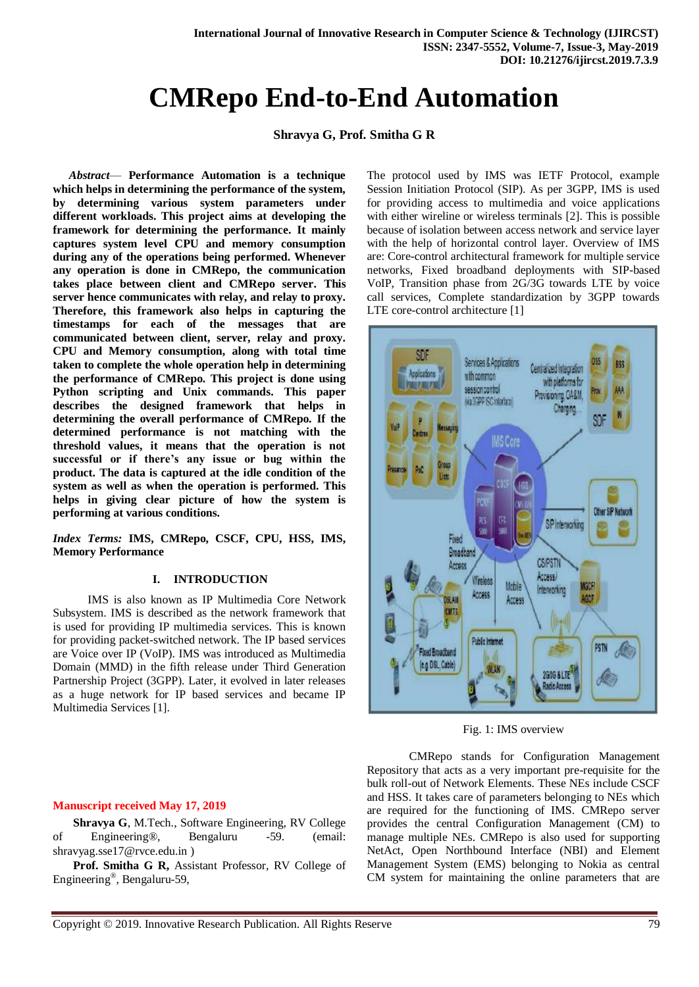# **CMRepo End-to-End Automation**

**Shravya G, Prof. Smitha G R**

*Abstract*— **Performance Automation is a technique which helps in determining the performance of the system, by determining various system parameters under different workloads. This project aims at developing the framework for determining the performance. It mainly captures system level CPU and memory consumption during any of the operations being performed. Whenever any operation is done in CMRepo, the communication takes place between client and CMRepo server. This server hence communicates with relay, and relay to proxy. Therefore, this framework also helps in capturing the timestamps for each of the messages that are communicated between client, server, relay and proxy. CPU and Memory consumption, along with total time taken to complete the whole operation help in determining the performance of CMRepo. This project is done using Python scripting and Unix commands. This paper describes the designed framework that helps in determining the overall performance of CMRepo. If the determined performance is not matching with the threshold values, it means that the operation is not successful or if there's any issue or bug within the product. The data is captured at the idle condition of the system as well as when the operation is performed. This helps in giving clear picture of how the system is performing at various conditions.**

*Index Terms:* **IMS, CMRepo, CSCF, CPU, HSS, IMS, Memory Performance**

## **I. INTRODUCTION**

 IMS is also known as IP Multimedia Core Network Subsystem. IMS is described as the network framework that is used for providing IP multimedia services. This is known for providing packet-switched network. The IP based services are Voice over IP (VoIP). IMS was introduced as Multimedia Domain (MMD) in the fifth release under Third Generation Partnership Project (3GPP). Later, it evolved in later releases as a huge network for IP based services and became IP Multimedia Services [1].

## **Manuscript received May 17, 2019**

 **Shravya G**, M.Tech., Software Engineering, RV College of Engineering®, Bengaluru -59. (email: [shravyag.sse17@rvce.edu.in](mailto:shravyag.sse17@rvce.edu.in) )

 **Prof. Smitha G R,** Assistant Professor, RV College of Engineering® , Bengaluru-59,

The protocol used by IMS was IETF Protocol, example Session Initiation Protocol (SIP). As per 3GPP, IMS is used for providing access to multimedia and voice applications with either wireline or wireless terminals [2]. This is possible because of isolation between access network and service layer with the help of horizontal control layer. Overview of IMS are: Core-control architectural framework for multiple service networks, Fixed broadband deployments with SIP-based VoIP, Transition phase from 2G/3G towards LTE by voice call services, Complete standardization by 3GPP towards LTE core-control architecture [1]



Fig. 1: IMS overview

CMRepo stands for Configuration Management Repository that acts as a very important pre-requisite for the bulk roll-out of Network Elements. These NEs include CSCF and HSS. It takes care of parameters belonging to NEs which are required for the functioning of IMS. CMRepo server provides the central Configuration Management (CM) to manage multiple NEs. CMRepo is also used for supporting NetAct, Open Northbound Interface (NBI) and Element Management System (EMS) belonging to Nokia as central CM system for maintaining the online parameters that are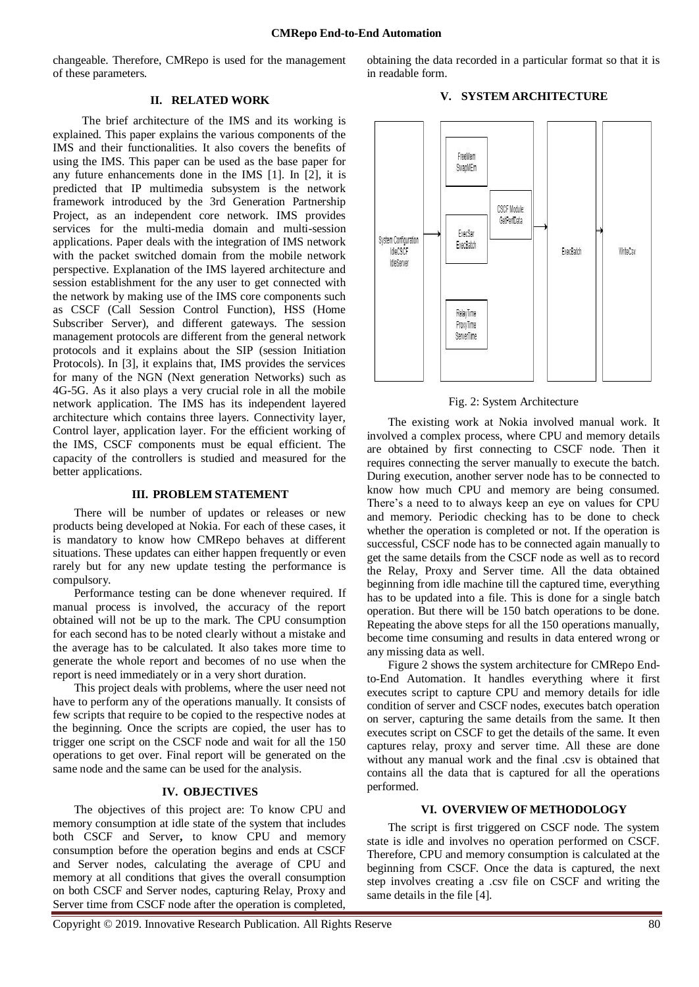changeable. Therefore, CMRepo is used for the management of these parameters.

## **II. RELATED WORK**

 The brief architecture of the IMS and its working is explained. This paper explains the various components of the IMS and their functionalities. It also covers the benefits of using the IMS. This paper can be used as the base paper for any future enhancements done in the IMS [1]. In [2], it is predicted that IP multimedia subsystem is the network framework introduced by the 3rd Generation Partnership Project, as an independent core network. IMS provides services for the multi-media domain and multi-session applications. Paper deals with the integration of IMS network with the packet switched domain from the mobile network perspective. Explanation of the IMS layered architecture and session establishment for the any user to get connected with the network by making use of the IMS core components such as CSCF (Call Session Control Function), HSS (Home Subscriber Server), and different gateways. The session management protocols are different from the general network protocols and it explains about the SIP (session Initiation Protocols). In [3], it explains that, IMS provides the services for many of the NGN (Next generation Networks) such as 4G-5G. As it also plays a very crucial role in all the mobile network application. The IMS has its independent layered architecture which contains three layers. Connectivity layer, Control layer, application layer. For the efficient working of the IMS, CSCF components must be equal efficient. The capacity of the controllers is studied and measured for the better applications.

#### **III. PROBLEM STATEMENT**

There will be number of updates or releases or new products being developed at Nokia. For each of these cases, it is mandatory to know how CMRepo behaves at different situations. These updates can either happen frequently or even rarely but for any new update testing the performance is compulsory.

Performance testing can be done whenever required. If manual process is involved, the accuracy of the report obtained will not be up to the mark. The CPU consumption for each second has to be noted clearly without a mistake and the average has to be calculated. It also takes more time to generate the whole report and becomes of no use when the report is need immediately or in a very short duration.

This project deals with problems, where the user need not have to perform any of the operations manually. It consists of few scripts that require to be copied to the respective nodes at the beginning. Once the scripts are copied, the user has to trigger one script on the CSCF node and wait for all the 150 operations to get over. Final report will be generated on the same node and the same can be used for the analysis.

#### **IV. OBJECTIVES**

The objectives of this project are: To know CPU and memory consumption at idle state of the system that includes both CSCF and Server**,** to know CPU and memory consumption before the operation begins and ends at CSCF and Server nodes, calculating the average of CPU and memory at all conditions that gives the overall consumption on both CSCF and Server nodes, capturing Relay, Proxy and Server time from CSCF node after the operation is completed,

obtaining the data recorded in a particular format so that it is in readable form.

#### **V. SYSTEM ARCHITECTURE**



Fig. 2: System Architecture

The existing work at Nokia involved manual work. It involved a complex process, where CPU and memory details are obtained by first connecting to CSCF node. Then it requires connecting the server manually to execute the batch. During execution, another server node has to be connected to know how much CPU and memory are being consumed. There's a need to to always keep an eye on values for CPU and memory. Periodic checking has to be done to check whether the operation is completed or not. If the operation is successful, CSCF node has to be connected again manually to get the same details from the CSCF node as well as to record the Relay, Proxy and Server time. All the data obtained beginning from idle machine till the captured time, everything has to be updated into a file. This is done for a single batch operation. But there will be 150 batch operations to be done. Repeating the above steps for all the 150 operations manually, become time consuming and results in data entered wrong or any missing data as well.

Figure 2 shows the system architecture for CMRepo Endto-End Automation. It handles everything where it first executes script to capture CPU and memory details for idle condition of server and CSCF nodes, executes batch operation on server, capturing the same details from the same. It then executes script on CSCF to get the details of the same. It even captures relay, proxy and server time. All these are done without any manual work and the final .csv is obtained that contains all the data that is captured for all the operations performed.

### **VI. OVERVIEW OF METHODOLOGY**

The script is first triggered on CSCF node. The system state is idle and involves no operation performed on CSCF. Therefore, CPU and memory consumption is calculated at the beginning from CSCF. Once the data is captured, the next step involves creating a .csv file on CSCF and writing the same details in the file [4].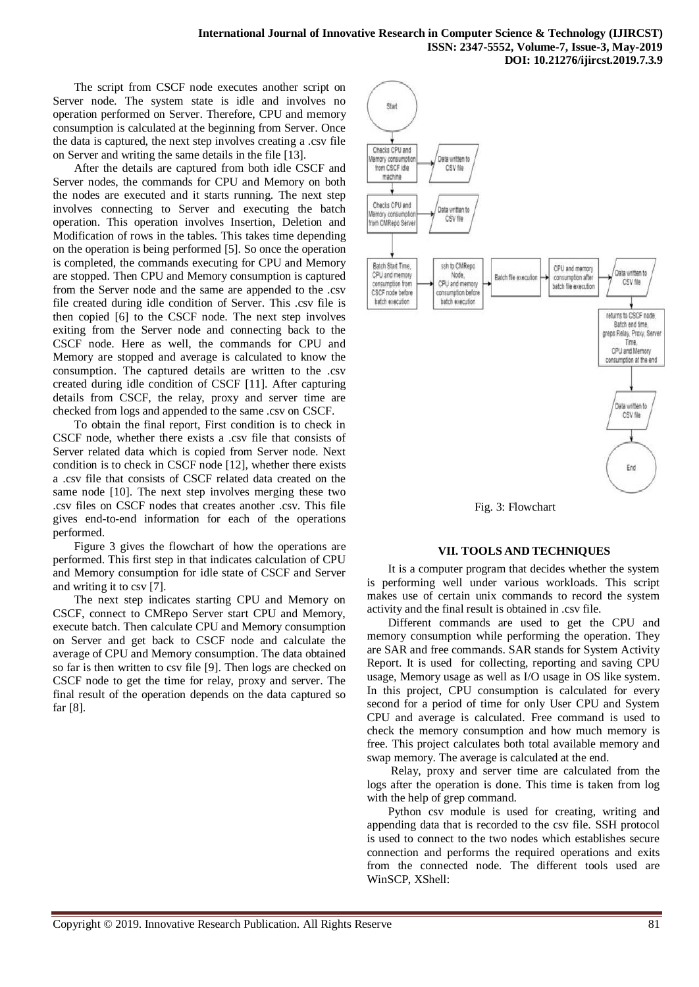The script from CSCF node executes another script on Server node. The system state is idle and involves no operation performed on Server. Therefore, CPU and memory consumption is calculated at the beginning from Server. Once the data is captured, the next step involves creating a .csv file on Server and writing the same details in the file [13].

After the details are captured from both idle CSCF and Server nodes, the commands for CPU and Memory on both the nodes are executed and it starts running. The next step involves connecting to Server and executing the batch operation. This operation involves Insertion, Deletion and Modification of rows in the tables. This takes time depending on the operation is being performed [5]. So once the operation is completed, the commands executing for CPU and Memory are stopped. Then CPU and Memory consumption is captured from the Server node and the same are appended to the .csv file created during idle condition of Server. This .csv file is then copied [6] to the CSCF node. The next step involves exiting from the Server node and connecting back to the CSCF node. Here as well, the commands for CPU and Memory are stopped and average is calculated to know the consumption. The captured details are written to the .csv created during idle condition of CSCF [11]. After capturing details from CSCF, the relay, proxy and server time are checked from logs and appended to the same .csv on CSCF.

To obtain the final report, First condition is to check in CSCF node, whether there exists a .csv file that consists of Server related data which is copied from Server node. Next condition is to check in CSCF node [12], whether there exists a .csv file that consists of CSCF related data created on the same node [10]. The next step involves merging these two .csv files on CSCF nodes that creates another .csv. This file gives end-to-end information for each of the operations performed.

Figure 3 gives the flowchart of how the operations are performed. This first step in that indicates calculation of CPU and Memory consumption for idle state of CSCF and Server and writing it to csv [7].

The next step indicates starting CPU and Memory on CSCF, connect to CMRepo Server start CPU and Memory, execute batch. Then calculate CPU and Memory consumption on Server and get back to CSCF node and calculate the average of CPU and Memory consumption. The data obtained so far is then written to csv file [9]. Then logs are checked on CSCF node to get the time for relay, proxy and server. The final result of the operation depends on the data captured so far [8].



Fig. 3: Flowchart

## **VII. TOOLS AND TECHNIQUES**

It is a computer program that decides whether the system is performing well under various workloads. This script makes use of certain unix commands to record the system activity and the final result is obtained in .csv file.

Different commands are used to get the CPU and memory consumption while performing the operation. They are SAR and free commands. SAR stands for System Activity Report. It is used for collecting, reporting and saving CPU usage, Memory usage as well as I/O usage in OS like system. In this project, CPU consumption is calculated for every second for a period of time for only User CPU and System CPU and average is calculated. Free command is used to check the memory consumption and how much memory is free. This project calculates both total available memory and swap memory. The average is calculated at the end.

Relay, proxy and server time are calculated from the logs after the operation is done. This time is taken from log with the help of grep command.

Python csv module is used for creating, writing and appending data that is recorded to the csv file. SSH protocol is used to connect to the two nodes which establishes secure connection and performs the required operations and exits from the connected node. The different tools used are WinSCP, XShell: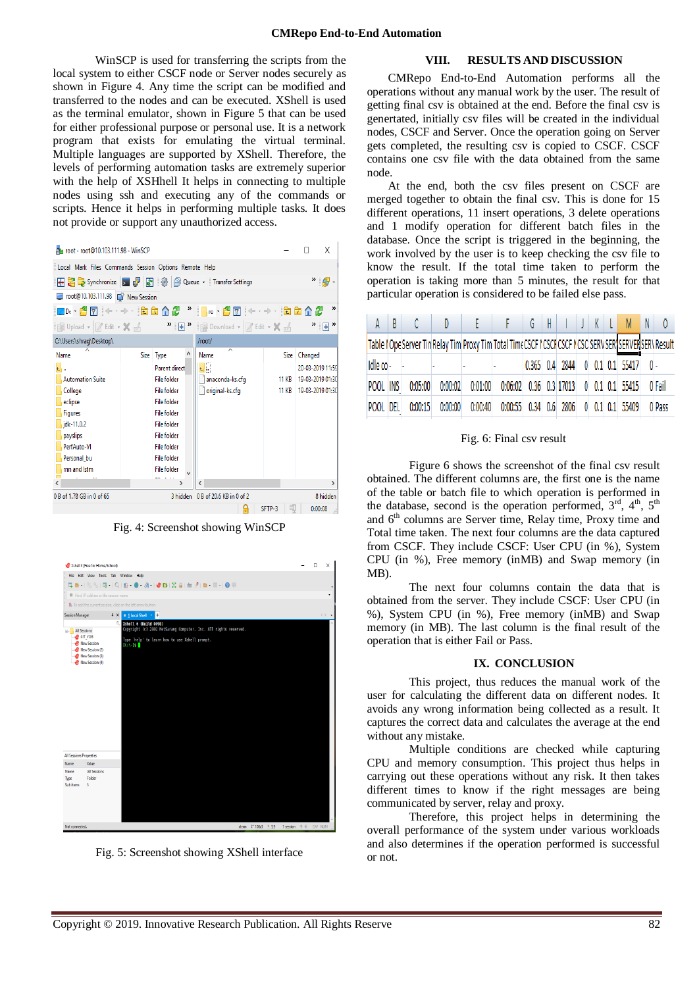WinSCP is used for transferring the scripts from the local system to either CSCF node or Server nodes securely as shown in Figure 4. Any time the script can be modified and transferred to the nodes and can be executed. XShell is used as the terminal emulator, shown in Figure 5 that can be used for either professional purpose or personal use. It is a network program that exists for emulating the virtual terminal. Multiple languages are supported by XShell. Therefore, the levels of performing automation tasks are extremely superior with the help of XSHhell It helps in connecting to multiple nodes using ssh and executing any of the commands or scripts. Hence it helps in performing multiple tasks. It does not provide or support any unauthorized access.



Fig. 4: Screenshot showing WinSCP



Fig. 5: Screenshot showing XShell interface

### **VIII. RESULTS AND DISCUSSION**

CMRepo End-to-End Automation performs all the operations without any manual work by the user. The result of getting final csv is obtained at the end. Before the final csv is genertated, initially csv files will be created in the individual nodes, CSCF and Server. Once the operation going on Server gets completed, the resulting csv is copied to CSCF. CSCF contains one csv file with the data obtained from the same node.

At the end, both the csv files present on CSCF are merged together to obtain the final csv. This is done for 15 different operations, 11 insert operations, 3 delete operations and 1 modify operation for different batch files in the database. Once the script is triggered in the beginning, the work involved by the user is to keep checking the csv file to know the result. If the total time taken to perform the operation is taking more than 5 minutes, the result for that particular operation is considered to be failed else pass.

| AA             | B | $\sim$ C $\sim$ | $D \t F$ |                     | FGHIJKLMN                                                                                            |  |  |  |                                      |        |
|----------------|---|-----------------|----------|---------------------|------------------------------------------------------------------------------------------------------|--|--|--|--------------------------------------|--------|
|                |   |                 |          |                     | Table   OpeServer Tin Relay Tim Proxy Tim Total TimeCSCF   CSCF CSCF NCSC SERV SERTSERVERSERV Result |  |  |  |                                      |        |
| $I$ dle co $-$ |   |                 |          |                     |                                                                                                      |  |  |  | $0.365$ 0.4 2844 0 0.1 0.1 55417 0 - |        |
| POOL INS       |   |                 |          |                     | 0:05:00 0:00:02 0:01:00 0:06:02 0.36 0.3 17013 0 0.1 0.1 55415 0 Fail                                |  |  |  |                                      |        |
| POOL DEL       |   | 0:00:15         |          | $0:00:00$ $0:00:40$ | $0:00:55$ 0.34 0.6 2806 0 0.1 0.1 55409                                                              |  |  |  |                                      | 0 Pass |

#### Fig. 6: Final csv result

Figure 6 shows the screenshot of the final csv result obtained. The different columns are, the first one is the name of the table or batch file to which operation is performed in the database, second is the operation performed,  $3<sup>rd</sup>$ ,  $4<sup>th</sup>$ ,  $5<sup>th</sup>$ and  $6<sup>th</sup>$  columns are Server time, Relay time, Proxy time and Total time taken. The next four columns are the data captured from CSCF. They include CSCF: User CPU (in %), System CPU (in %), Free memory (inMB) and Swap memory (in MB).

The next four columns contain the data that is obtained from the server. They include CSCF: User CPU (in %), System CPU (in %), Free memory (inMB) and Swap memory (in MB). The last column is the final result of the operation that is either Fail or Pass.

#### **IX. CONCLUSION**

This project, thus reduces the manual work of the user for calculating the different data on different nodes. It avoids any wrong information being collected as a result. It captures the correct data and calculates the average at the end without any mistake.

Multiple conditions are checked while capturing CPU and memory consumption. This project thus helps in carrying out these operations without any risk. It then takes different times to know if the right messages are being communicated by server, relay and proxy.

Therefore, this project helps in determining the overall performance of the system under various workloads and also determines if the operation performed is successful or not.